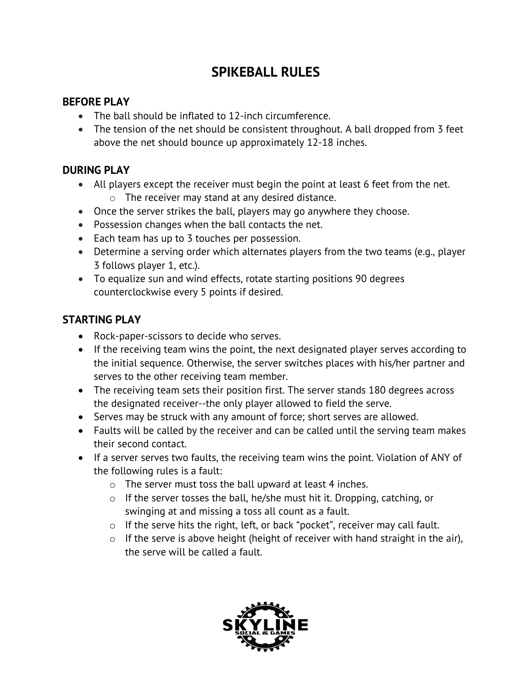# **SPIKEBALL RULES**

#### **BEFORE PLAY**

- The ball should be inflated to 12-inch circumference.
- The tension of the net should be consistent throughout. A ball dropped from 3 feet above the net should bounce up approximately 12-18 inches.

#### **DURING PLAY**

- All players except the receiver must begin the point at least 6 feet from the net.  $\circ$  The receiver may stand at any desired distance.
- Once the server strikes the ball, players may go anywhere they choose.
- Possession changes when the ball contacts the net.
- Each team has up to 3 touches per possession.
- Determine a serving order which alternates players from the two teams (e.g., player 3 follows player 1, etc.).
- To equalize sun and wind effects, rotate starting positions 90 degrees counterclockwise every 5 points if desired.

## **STARTING PLAY**

- Rock-paper-scissors to decide who serves.
- If the receiving team wins the point, the next designated player serves according to the initial sequence. Otherwise, the server switches places with his/her partner and serves to the other receiving team member.
- The receiving team sets their position first. The server stands 180 degrees across the designated receiver--the only player allowed to field the serve.
- Serves may be struck with any amount of force; short serves are allowed.
- Faults will be called by the receiver and can be called until the serving team makes their second contact.
- If a server serves two faults, the receiving team wins the point. Violation of ANY of the following rules is a fault:
	- o The server must toss the ball upward at least 4 inches.
	- o If the server tosses the ball, he/she must hit it. Dropping, catching, or swinging at and missing a toss all count as a fault.
	- o If the serve hits the right, left, or back "pocket", receiver may call fault.
	- $\circ$  If the serve is above height (height of receiver with hand straight in the air), the serve will be called a fault.

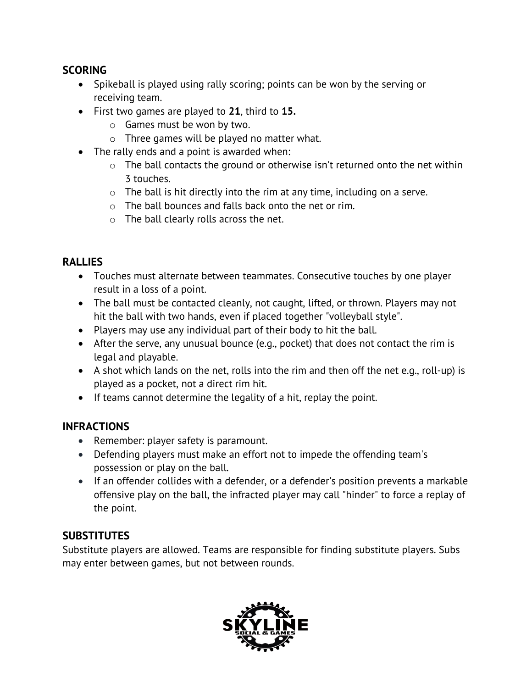## **SCORING**

- Spikeball is played using rally scoring; points can be won by the serving or receiving team.
- First two games are played to **21**, third to **15.**
	- o Games must be won by two.
	- o Three games will be played no matter what.
- The rally ends and a point is awarded when:
	- $\circ$  The ball contacts the ground or otherwise isn't returned onto the net within 3 touches.
	- o The ball is hit directly into the rim at any time, including on a serve.
	- o The ball bounces and falls back onto the net or rim.
	- o The ball clearly rolls across the net.

## **RALLIES**

- Touches must alternate between teammates. Consecutive touches by one player result in a loss of a point.
- The ball must be contacted cleanly, not caught, lifted, or thrown. Players may not hit the ball with two hands, even if placed together "volleyball style".
- Players may use any individual part of their body to hit the ball.
- After the serve, any unusual bounce (e.g., pocket) that does not contact the rim is legal and playable.
- A shot which lands on the net, rolls into the rim and then off the net e.g., roll-up) is played as a pocket, not a direct rim hit.
- If teams cannot determine the legality of a hit, replay the point.

## **INFRACTIONS**

- Remember: player safety is paramount.
- Defending players must make an effort not to impede the offending team's possession or play on the ball.
- If an offender collides with a defender, or a defender's position prevents a markable offensive play on the ball, the infracted player may call "hinder" to force a replay of the point.

## **SUBSTITUTES**

Substitute players are allowed. Teams are responsible for finding substitute players. Subs may enter between games, but not between rounds.